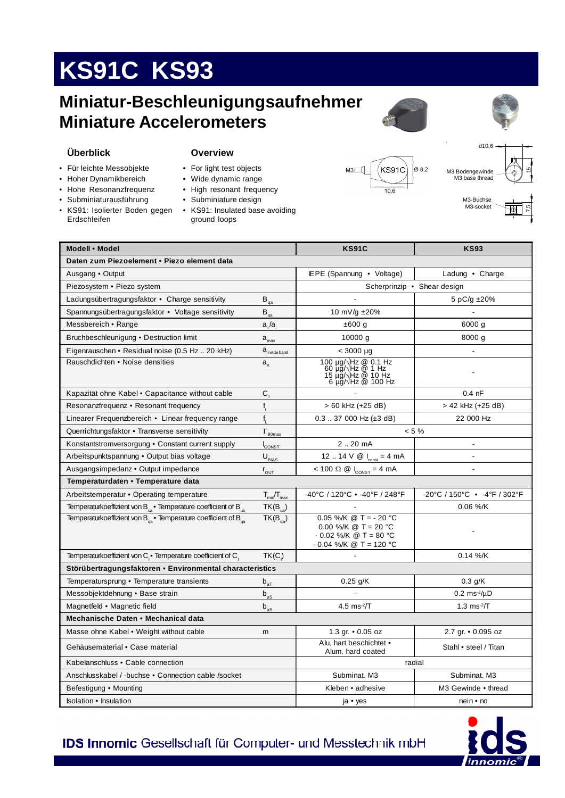# **KS91C KS93**

### **Miniatur-Beschleunigungsaufnehmer Miniature Accelerometers**





#### **Überblick**

- **Overview**
- Für leichte Messobjekte
- Hoher Dynamikbereich
- Hohe Resonanzfrequenz
- Subminiaturausführung
- KS91: Isolierter Boden gegen Erdschleifen

- For light test objects
- Wide dynamic range
- High resonant frequency
- Subminiature design
- KS91: Insulated base avoiding ground loops





d10,6

M3-Buchse M3-socket

7,5

| Modell • Model                                                                 |                                                | <b>KS91C</b>                                                                                                               | <b>KS93</b>                    |
|--------------------------------------------------------------------------------|------------------------------------------------|----------------------------------------------------------------------------------------------------------------------------|--------------------------------|
| Daten zum Piezoelement • Piezo element data                                    |                                                |                                                                                                                            |                                |
| Ausgang • Output                                                               |                                                | IEPE (Spannung • Voltage)                                                                                                  | Ladung • Charge                |
| Piezosystem • Piezo system                                                     |                                                |                                                                                                                            | Scherprinzip • Shear design    |
| Ladungsübertragungsfaktor • Charge sensitivity                                 | $\mathsf{B}_{\scriptscriptstyle{\mathsf{qa}}}$ |                                                                                                                            | 5 pC/g ±20%                    |
| Spannungsübertragungsfaktor · Voltage sensitivity                              | $\mathsf{B}_{\mathrm{ua}}$                     | 10 mV/g ±20%                                                                                                               |                                |
| Messbereich • Range                                                            | $a_{\mu}/a_{\mu}$                              | ±600 g                                                                                                                     | 6000 g                         |
| Bruchbeschleunigung • Destruction limit                                        | $a_{\text{max}}$                               | 10000 g                                                                                                                    | 8000 g                         |
| Eigenrauschen • Residual noise (0.5 Hz 20 kHz)                                 | $a_{n \text{ wide band}}$                      | $< 3000 \mu g$                                                                                                             |                                |
| Rauschdichten • Noise densities                                                | $a_{n}$                                        | 100 µg/ $\sqrt{Hz}$ @ 0.1 Hz<br>60 µg/ $\sqrt{Hz}$ @ 1 Hz<br>15 µg/ $\sqrt{Hz}$ @ 10 Hz<br>6 $\mu$ g/ $\sqrt{Hz}$ @ 100 Hz |                                |
| Kapazität ohne Kabel • Capacitance without cable                               | $C_{1}$                                        |                                                                                                                            | $0.4$ nF                       |
| Resonanzfrequenz • Resonant frequency                                          | f,                                             | > 60 kHz (+25 dB)                                                                                                          | > 42 kHz (+25 dB)              |
| Linearer Frequenzbereich • Linear frequency range                              | $f_{\rm l}$                                    | $0.3$ 37 000 Hz ( $\pm$ 3 dB)                                                                                              | 22 000 Hz                      |
| Querrichtungsfaktor • Transverse sensitivity                                   | $\Gamma_{\rm \underbar{90max}}$                | $< 5 \%$                                                                                                                   |                                |
| Konstantstromversorgung • Constant current supply                              | CONST                                          | 2.20mA                                                                                                                     | $\overline{\phantom{a}}$       |
| Arbeitspunktspannung • Output bias voltage                                     | $U_{BIAS}$                                     | 12  14 $V \otimes I_{\text{const}} = 4 \text{ mA}$                                                                         | ä,                             |
| Ausgangsimpedanz • Output impedance                                            | $r_{\text{OUT}}$                               | $< 100 \Omega \otimes I_{\text{const}} = 4 \text{ mA}$                                                                     |                                |
| Temperaturdaten • Temperature data                                             |                                                |                                                                                                                            |                                |
| Arbeitstemperatur . Operating temperature                                      | $T_{\text{min}}/T_{\text{max}}$                | -40°C / 120°C • -40°F / 248°F                                                                                              | -20°C / 150°C • -4°F / 302°F   |
| Temperaturkoeffizient von $B_{1a}$ Temperature coefficient of $B_{1a}$         | $TK(B_{\text{ua}})$                            |                                                                                                                            | 0.06 %/K                       |
| Temperaturkoeffizient von $B_{\alpha}$ Temperature coefficient of $B_{\alpha}$ | $TK(B_{qa})$                                   | 0.05 %/K @ T = - 20 °C<br>0.00 %/K @ T = 20 °C<br>$-0.02$ %/K @ T = 80 °C<br>$-0.04$ %/K @ T = 120 °C                      |                                |
| Temperaturkoeffizient von C <sub>.</sub> Temperature coefficient of C.         | TK(C)                                          |                                                                                                                            | 0.14 %/K                       |
| Störübertragungsfaktoren • Environmental characteristics                       |                                                |                                                                                                                            |                                |
| Temperatursprung • Temperature transients                                      | $b_{aT}$                                       | $0.25$ g/K                                                                                                                 | $0.3$ g/K                      |
| Messobjektdehnung • Base strain                                                | $\mathsf{b}_{\mathsf{aS}}$                     |                                                                                                                            | $0.2 \text{ ms}^2/\mu\text{D}$ |
| Magnetfeld • Magnetic field                                                    | $\mathsf{b}_{\mathsf{a}\mathsf{B}}$            | 4.5 $ms^2/T$                                                                                                               | 1.3 $ms^2/T$                   |
| Mechanische Daten • Mechanical data                                            |                                                |                                                                                                                            |                                |
| Masse ohne Kabel • Weight without cable                                        | m                                              | 1.3 gr. • 0.05 oz                                                                                                          | 2.7 gr. • 0.095 oz             |
| Gehäusematerial • Case material                                                |                                                | Alu, hart beschichtet •<br>Alum. hard coated                                                                               | Stahl • steel / Titan          |
| Kabelanschluss • Cable connection                                              |                                                | radial                                                                                                                     |                                |
| Anschlusskabel / -buchse • Connection cable /socket                            |                                                | Subminat. M3                                                                                                               | Subminat. M3                   |
| Befestigung • Mounting                                                         |                                                | Kleben • adhesive                                                                                                          | M3 Gewinde • thread            |
| Isolation • Insulation                                                         |                                                | ja • yes                                                                                                                   | nein • no                      |